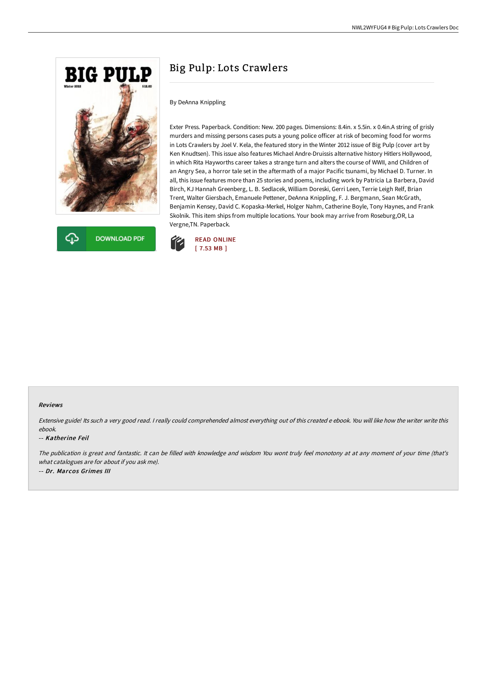



# Big Pulp: Lots Crawlers

# By DeAnna Knippling

Exter Press. Paperback. Condition: New. 200 pages. Dimensions: 8.4in. x 5.5in. x 0.4in.A string of grisly murders and missing persons cases puts a young police officer at risk of becoming food for worms in Lots Crawlers by Joel V. Kela, the featured story in the Winter 2012 issue of Big Pulp (cover art by Ken Knudtsen). This issue also features Michael Andre-Druissis alternative history Hitlers Hollywood, in which Rita Hayworths career takes a strange turn and alters the course of WWII, and Children of an Angry Sea, a horror tale set in the aftermath of a major Pacific tsunami, by Michael D. Turner. In all, this issue features more than 25 stories and poems, including work by Patricia La Barbera, David Birch, KJ Hannah Greenberg, L. B. Sedlacek, William Doreski, Gerri Leen, Terrie Leigh Relf, Brian Trent, Walter Giersbach, Emanuele Pettener, DeAnna Knippling, F. J. Bergmann, Sean McGrath, Benjamin Kensey, David C. Kopaska-Merkel, Holger Nahm, Catherine Boyle, Tony Haynes, and Frank Skolnik. This item ships from multiple locations. Your book may arrive from Roseburg,OR, La Vergne,TN. Paperback.



### Reviews

Extensive guide! Its such <sup>a</sup> very good read. <sup>I</sup> really could comprehended almost everything out of this created <sup>e</sup> ebook. You will like how the writer write this ebook.

### -- Katherine Feil

The publication is great and fantastic. It can be filled with knowledge and wisdom You wont truly feel monotony at at any moment of your time (that's what catalogues are for about if you ask me). -- Dr. Marcos Grimes III